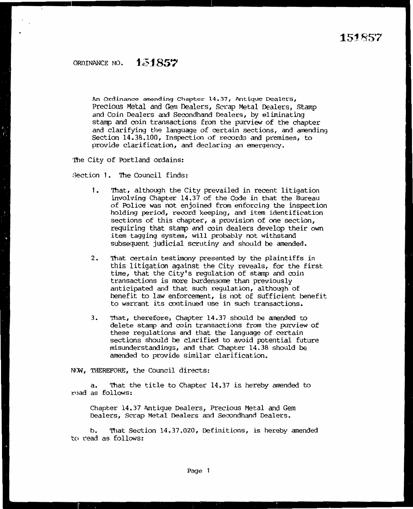An Ordinance amending Chapter 14.37, Antique Dealers, Precious Metal and Gem Dealers, Scrap Metal Dealers, Stamp and Coin Dealers and Secondhand Dealers, by eliminating stamp and coin transactions from the purview of the chapter and clarifying the language of certain sections, and amending Section 14.38.100, Inspection of records and premises, to provide clarification, and declaring an emergency.

'Ihe City of Portland ordains:

:3ection 1. 'Ihe Council finds:

- 1. That, although the City prevailed in recent litigation involving Chapter 14.37 of the Code in that the Bureau of Police was not enjoined from enforcing the inspection holding period, record keeping, and item identification sections of this chapter, a provision of one section, requiring that stamp and coin dealers develop their own item tagging systan, will probably not withstand subsequent judicial scrutiny and should be amended.
- 2. 'Ihat certain testimony presented by the plaintiffs in this litigation against the City reveals, for the first time, that the City's regulation of stamp and coin transactions is more burdensome than previously anticipated and that such requlation, although of benefit to law enforcement, is not of sufficient benefit to warrant its oontinued use in such transactions.
- 3. That, therefore, Chapter 14.37 should be amended to delete stamp and coin transactions from the purview of these regulations and that the language of certain sections should be clarified to avoid potential future misunderstandings, and that Chapter 14.38 should be amended to provide similar clarification.

N<M, THEREFORE, the Council directs:

a. That the title to Chapter  $14.37$  is hereby amended to read as follows:

Chapter 14.37 Antique Dealers, Precious Metal and Gem Dealers, Scrap Metal Dealers and Secondhand Dealers.

b. 'Ihat Section 14.37.020, Definitions, is hereby amended to read as follows: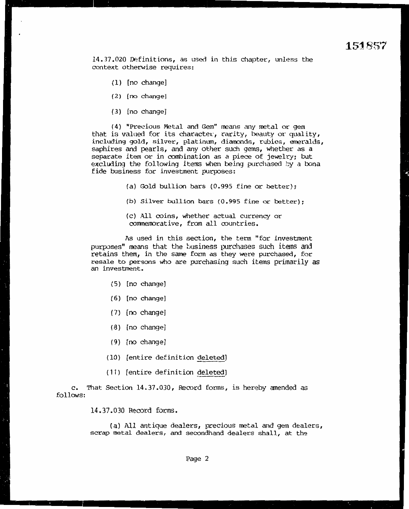14.37.020 Definitions, as used in this chapter, unless the context otherwise requires:

- { 1) [no change]
- ( 2) [no change]
- ( 3) [no change]

(4) "Precious Metal and Gem" means any metal or gem that is valued for its character, rarity, beauty or quality, including gold, silver, platinum, diamonds, rubies, emeralds, saphires and pearls, and any other such gems, whether as <sup>a</sup> separate item or in combination as a piece of jewelry; but excluding the following items when being purchased by a bona fide business for investment purposes:

- (a) Gold bullion bars {0.995 fine or better);
- (b) Silver bullion bars (0.995 fine or better):
- (c) All coins, whether actual currency or commemorative, from all countries.

As used in this section, the term "for investment purposes" means that the business purchases such items and retains them, in the same form as they were purchased, for resale to persons who are purchasing such items primarily as an investment.

- ( 5) [no change)
- ( 6) [no change]
- ( 7) [no change]
- ( 8) [no change]
- (9) [no change]
- (10) [entire definition deleted]
- (11) [entire definition deleted]

c. 'That Section 14.37.030, Record forms, is hereby amended as follows:

14.37.030 Record forms.

(a) All antique dealers, precious metal and gem dealers, scrap metal dealers, and secondhand dealers shall, at the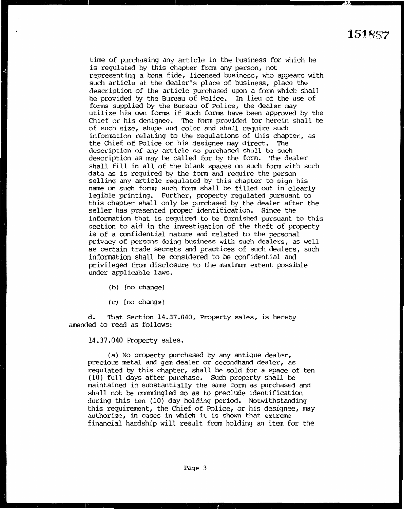time of purchasing any article in the business for which he is regulated by this chapter from any person, not representing a bona fide, licensed business, who appears with such article at the dealer's place of. business, place the description of the article purchased upon a form which shall be provided by the Bureau of Police. In lieu of the use of forms supplied by the Bureau of Police, the dealer may utilize his own forms if such forms have been approved by the Chief or his designee. The form provided for herein shall be of such  $size$ , shape and color and shall require such information relating to the regulations of this chapter, as the Chief of Police or his designee may direct. The description of any article so purchased shall be such description as may be called f.or by the form. 'Ihe dealer shall fill in all of the blank spaces on such form with such data as is required by the form and require the person selling any article regulated by this chapter to sign his name on such form; such form shall be filled out in clearly legible printing. Further, property regulated pursuant to this chapter shall only be purchased by the dealer after the seller has presented proper identification. Since the information that is required to be furnished pursuant to this section to aid in the investiqation of the theft of property is of a confidential nature and related to the personal privacy of persons doing business with such dealers, as well as certain trade secrets and practices of such dealers, such information shall be considered to be confidential and privileged from disclosure to the maximum extent possible under applicable laws.

- (b) [no change]
- ( c) [no change]

d. That Section 14.37.040, Property sales, is hereby amended to read as follows:

14.37.040 Property sales.

{a) No property purchased by any antique dealer, precious metal and gem dealer or secondhand dealer, as regulated by this chapter, shall be sold for a space of ten ( 10) full days after purchase. Such property shall be maintained in substantially the same focm as purchased and shall not be commingled so as to preclude identification during this ten (10) day holding period. Notwithstanding this requirement, the Chief of Police, or his designee, may authorize, in cases in which it is shown that extreme financial hardship will result from holding an item for the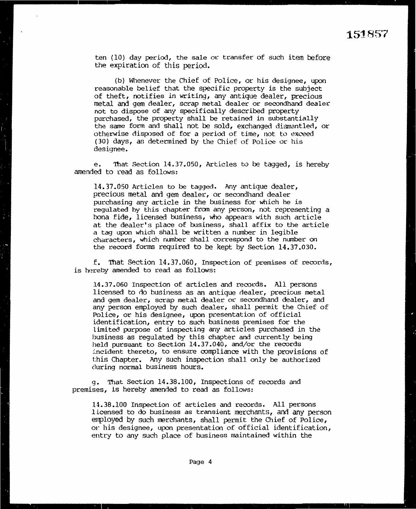ten  $(10)$  day period, the sale or transfer of such item before the expiration of this period.

(b) Whenever the Chief of Police, or his designee, upon reasonable belief that the specific property is the subject of theft, notifies in writing, any antique dealer, precious metal and gem dealer, scrap metal dealer or secondhand dealer not to dispose of any specifically described property purchased, the property shall be retained in substantially the same form and shall not be sold, exchanged dismantled, or otherwise disposed of for a period of time, not to exceed (30) days, as determined by the Chief of Police or his designee.

e. '!hat Section 14.37.050, Articles to be tagged, is hereby amended to read as follows:

14.37.050 Articles to be tagged. Any antique dealer, precious metal and gem dealer, or seoondhand dealer purchasing any article in the business for which he is regulated by this chapter from any person, not representing a bona fide, licensed business, who appears with such article at the dealer's place of business, shall affix to the article a tag upon which shall be written a number in legible characters, which number shall correspond to the number on the record forms required to be kept by Section 14.37.030.

f. That Section 14.37.060, Inspection of premises of records, is hereby amended to read as follows:

14.37.060 Inspection of articles and records. All persons licensed to do business as an antique dealer, precious metal and gem dealer, scrap metal dealer or secondhand dealer, and any person employed by such dealer, shall permit the Chief of Police, or his designee, upon presentation of official identification, entry to such business premises for the limited purpose of inspecting any articles purchased in the business as regulated by this chapter and currently being held pursuant to Section 14.37.040, and/or the records i.ncident thereto, to ensure compliance with the provisions of this Chapter. Any such inspection shall only be authorized during normal business hours.

g. That Section 14.38.100, Inspections of records and premises, is hereby amended to read as follows:

14.38.100 Inspection of articles and records. All persons l.icensed to do business as transient merchants, and any person employed by such merchants, shall permit the Chief of Police, 01~ his designee, upon presentation of official identification, entry to any such place of business maintained within the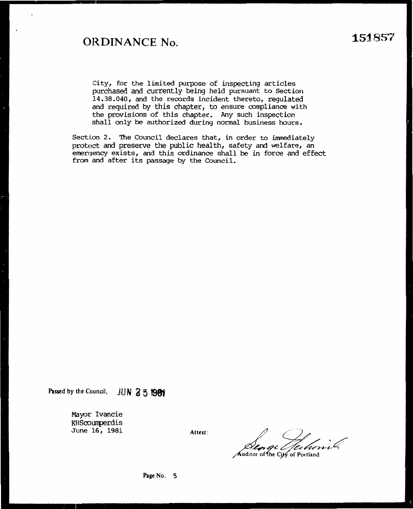## **ORDINANCE No.**

 $\ddot{\phantom{0}}$ 

City, for the limited purpose of inspecting articles purchased and currently being held pursuant to Section 14.38.040, and the records incident thereto, regulated and required by this chapter, to ensure compliance with the provisions of this chapter. Any such inspection shall only be authorized during normal business hours.

Section 2. The Council declares that, in order to immediately protect and preserve the public health, safety and welfare, an emergency exists, and this ordinance shall be in force and effect from and after its passage by the Council.

Passed by the Council, JUN 2 5 1981

Mayor Ivancie KHScoumperdis June 16, 1981

Attest:

Auditor of the City of Portland

Page No. 5